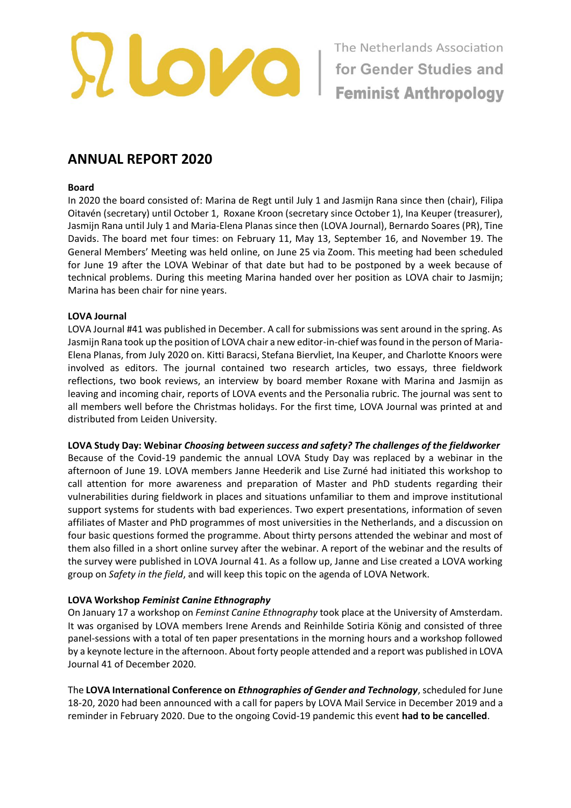

# **ANNUAL REPORT 2020**

#### **Board**

In 2020 the board consisted of: Marina de Regt until July 1 and Jasmijn Rana since then (chair), Filipa Oitavén (secretary) until October 1, Roxane Kroon (secretary since October 1), Ina Keuper (treasurer), Jasmijn Rana until July 1 and Maria-Elena Planas since then (LOVA Journal), Bernardo Soares (PR), Tine Davids. The board met four times: on February 11, May 13, September 16, and November 19. The General Members' Meeting was held online, on June 25 via Zoom. This meeting had been scheduled for June 19 after the LOVA Webinar of that date but had to be postponed by a week because of technical problems. During this meeting Marina handed over her position as LOVA chair to Jasmijn; Marina has been chair for nine years.

#### **LOVA Journal**

LOVA Journal #41 was published in December. A call for submissions was sent around in the spring. As Jasmijn Rana took up the position of LOVA chair a new editor-in-chief was found in the person of Maria-Elena Planas, from July 2020 on. Kitti Baracsi, Stefana Biervliet, Ina Keuper, and Charlotte Knoors were involved as editors. The journal contained two research articles, two essays, three fieldwork reflections, two book reviews, an interview by board member Roxane with Marina and Jasmijn as leaving and incoming chair, reports of LOVA events and the Personalia rubric. The journal was sent to all members well before the Christmas holidays. For the first time, LOVA Journal was printed at and distributed from Leiden University.

#### **LOVA Study Day: Webinar** *Choosing between success and safety? The challenges of the fieldworker*

Because of the Covid-19 pandemic the annual LOVA Study Day was replaced by a webinar in the afternoon of June 19. LOVA members Janne Heederik and Lise Zurné had initiated this workshop to call attention for more awareness and preparation of Master and PhD students regarding their vulnerabilities during fieldwork in places and situations unfamiliar to them and improve institutional support systems for students with bad experiences. Two expert presentations, information of seven affiliates of Master and PhD programmes of most universities in the Netherlands, and a discussion on four basic questions formed the programme. About thirty persons attended the webinar and most of them also filled in a short online survey after the webinar. A report of the webinar and the results of the survey were published in LOVA Journal 41. As a follow up, Janne and Lise created a LOVA working group on *Safety in the field*, and will keep this topic on the agenda of LOVA Network.

#### **LOVA Workshop** *Feminist Canine Ethnography*

On January 17 a workshop on *Feminst Canine Ethnography* took place at the University of Amsterdam. It was organised by LOVA members Irene Arends and Reinhilde Sotiria König and consisted of three panel-sessions with a total of ten paper presentations in the morning hours and a workshop followed by a keynote lecture in the afternoon. About forty people attended and a report was published in LOVA Journal 41 of December 2020.

The **LOVA International Conference on** *Ethnographies of Gender and Technology*, scheduled for June 18-20, 2020 had been announced with a call for papers by LOVA Mail Service in December 2019 and a reminder in February 2020. Due to the ongoing Covid-19 pandemic this event **had to be cancelled**.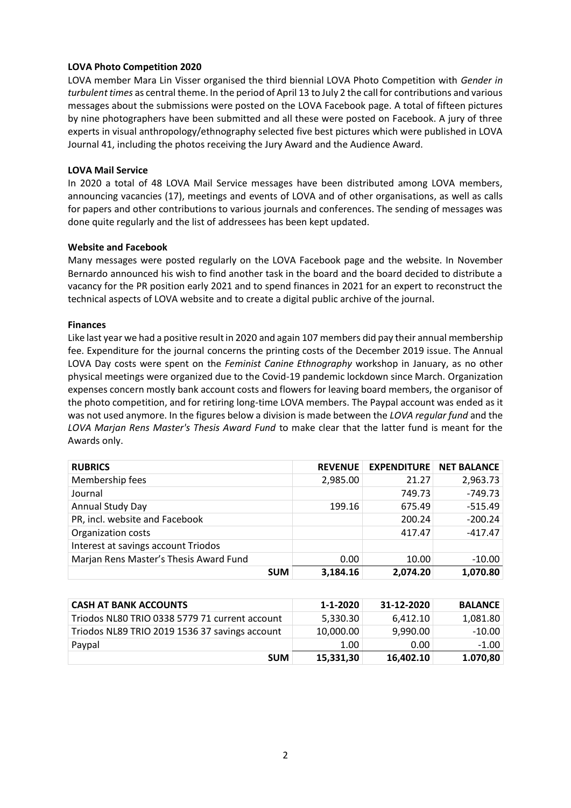### **LOVA Photo Competition 2020**

LOVA member Mara Lin Visser organised the third biennial LOVA Photo Competition with *Gender in turbulent times* as central theme. In the period of April 13 to July 2 the call for contributions and various messages about the submissions were posted on the LOVA Facebook page. A total of fifteen pictures by nine photographers have been submitted and all these were posted on Facebook. A jury of three experts in visual anthropology/ethnography selected five best pictures which were published in LOVA Journal 41, including the photos receiving the Jury Award and the Audience Award.

#### **LOVA Mail Service**

In 2020 a total of 48 LOVA Mail Service messages have been distributed among LOVA members, announcing vacancies (17), meetings and events of LOVA and of other organisations, as well as calls for papers and other contributions to various journals and conferences. The sending of messages was done quite regularly and the list of addressees has been kept updated.

## **Website and Facebook**

Many messages were posted regularly on the LOVA Facebook page and the website. In November Bernardo announced his wish to find another task in the board and the board decided to distribute a vacancy for the PR position early 2021 and to spend finances in 2021 for an expert to reconstruct the technical aspects of LOVA website and to create a digital public archive of the journal.

## **Finances**

Like last year we had a positive result in 2020 and again 107 members did pay their annual membership fee. Expenditure for the journal concerns the printing costs of the December 2019 issue. The Annual LOVA Day costs were spent on the *Feminist Canine Ethnography* workshop in January, as no other physical meetings were organized due to the Covid-19 pandemic lockdown since March. Organization expenses concern mostly bank account costs and flowers for leaving board members, the organisor of the photo competition, and for retiring long-time LOVA members. The Paypal account was ended as it was not used anymore. In the figures below a division is made between the *LOVA regular fund* and the *LOVA Marjan Rens Master's Thesis Award Fund* to make clear that the latter fund is meant for the Awards only.

| <b>RUBRICS</b>                                 | <b>REVENUE</b> | <b>EXPENDITURE</b> | <b>NET BALANCE</b> |
|------------------------------------------------|----------------|--------------------|--------------------|
| Membership fees                                | 2,985.00       | 21.27              | 2,963.73           |
| Journal                                        |                | 749.73             | $-749.73$          |
| Annual Study Day                               | 199.16         | 675.49             | $-515.49$          |
| PR, incl. website and Facebook                 |                | 200.24             | $-200.24$          |
| Organization costs                             |                | 417.47             | $-417.47$          |
| Interest at savings account Triodos            |                |                    |                    |
| Marjan Rens Master's Thesis Award Fund         | 0.00           | 10.00              | $-10.00$           |
| <b>SUM</b>                                     | 3,184.16       | 2,074.20           | 1,070.80           |
|                                                |                |                    |                    |
| <b>CASH AT BANK ACCOUNTS</b>                   | 1-1-2020       | 31-12-2020         | <b>BALANCE</b>     |
| Triodos NL80 TRIO 0338 5779 71 current account | 5,330.30       | 6,412.10           | 1,081.80           |
| Triodos NL89 TRIO 2019 1536 37 savings account | 10,000.00      | 9,990.00           | $-10.00$           |

Paypal 1.00 0.00 -1.00

**SUM 15,331,30 16,402.10 1.070,80**